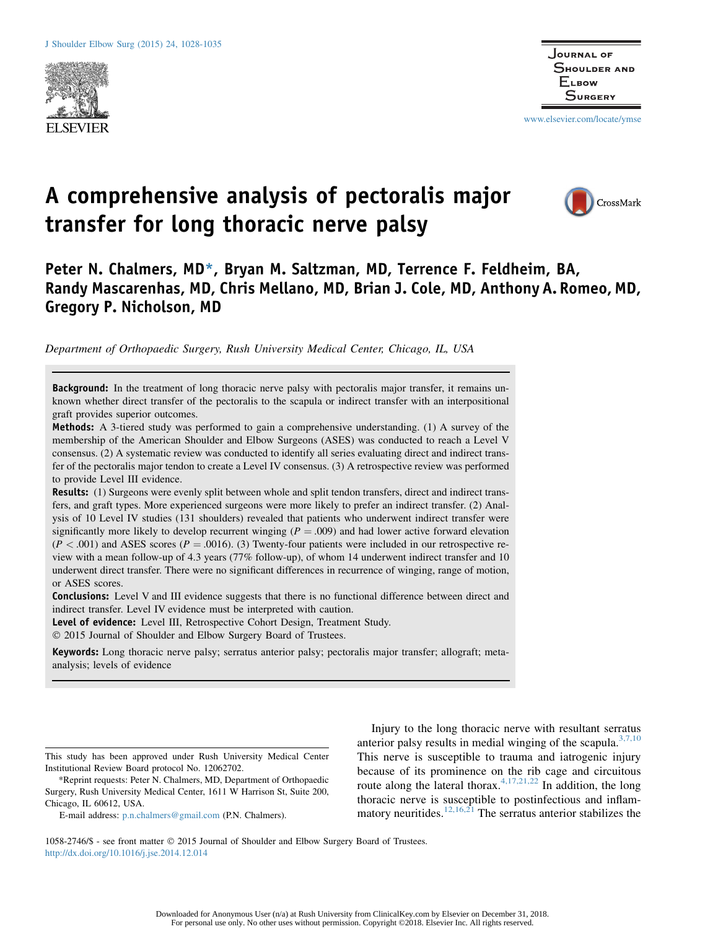



www.elsevier.com/locate/ymse

# A comprehensive analysis of pectoralis major transfer for long thoracic nerve palsy



Peter N. Chalmers, MD\*, Bryan M. Saltzman, MD, Terrence F. Feldheim, BA, Randy Mascarenhas, MD, Chris Mellano, MD, Brian J. Cole, MD, Anthony A. Romeo, MD, Gregory P. Nicholson, MD

Department of Orthopaedic Surgery, Rush University Medical Center, Chicago, IL, USA

**Background:** In the treatment of long thoracic nerve palsy with pectoralis major transfer, it remains unknown whether direct transfer of the pectoralis to the scapula or indirect transfer with an interpositional graft provides superior outcomes.

Methods: A 3-tiered study was performed to gain a comprehensive understanding. (1) A survey of the membership of the American Shoulder and Elbow Surgeons (ASES) was conducted to reach a Level V consensus. (2) A systematic review was conducted to identify all series evaluating direct and indirect transfer of the pectoralis major tendon to create a Level IV consensus. (3) A retrospective review was performed to provide Level III evidence.

Results: (1) Surgeons were evenly split between whole and split tendon transfers, direct and indirect transfers, and graft types. More experienced surgeons were more likely to prefer an indirect transfer. (2) Analysis of 10 Level IV studies (131 shoulders) revealed that patients who underwent indirect transfer were significantly more likely to develop recurrent winging ( $P = .009$ ) and had lower active forward elevation  $(P < .001)$  and ASES scores  $(P = .0016)$ . (3) Twenty-four patients were included in our retrospective review with a mean follow-up of 4.3 years (77% follow-up), of whom 14 underwent indirect transfer and 10 underwent direct transfer. There were no significant differences in recurrence of winging, range of motion, or ASES scores.

**Conclusions:** Level V and III evidence suggests that there is no functional difference between direct and indirect transfer. Level IV evidence must be interpreted with caution.

Level of evidence: Level III, Retrospective Cohort Design, Treatment Study. 2015 Journal of Shoulder and Elbow Surgery Board of Trustees.

Keywords: Long thoracic nerve palsy; serratus anterior palsy; pectoralis major transfer; allograft; metaanalysis; levels of evidence

E-mail address: p.n.chalmers@gmail.com (P.N. Chalmers).

Injury to the long thoracic nerve with resultant serratus anterior palsy results in medial winging of the scapula. $3,7,10$ This nerve is susceptible to trauma and iatrogenic injury because of its prominence on the rib cage and circuitous route along the lateral thorax.  $4,17,21,22$  In addition, the long thoracic nerve is susceptible to postinfectious and inflammatory neuritides.<sup>12,16,21</sup> The serratus anterior stabilizes the

1058-2746/\$ - see front matter 2015 Journal of Shoulder and Elbow Surgery Board of Trustees. http://dx.doi.org/10.1016/j.jse.2014.12.014

This study has been approved under Rush University Medical Center Institutional Review Board protocol No. 12062702.

<sup>\*</sup>Reprint requests: Peter N. Chalmers, MD, Department of Orthopaedic Surgery, Rush University Medical Center, 1611 W Harrison St, Suite 200, Chicago, IL 60612, USA.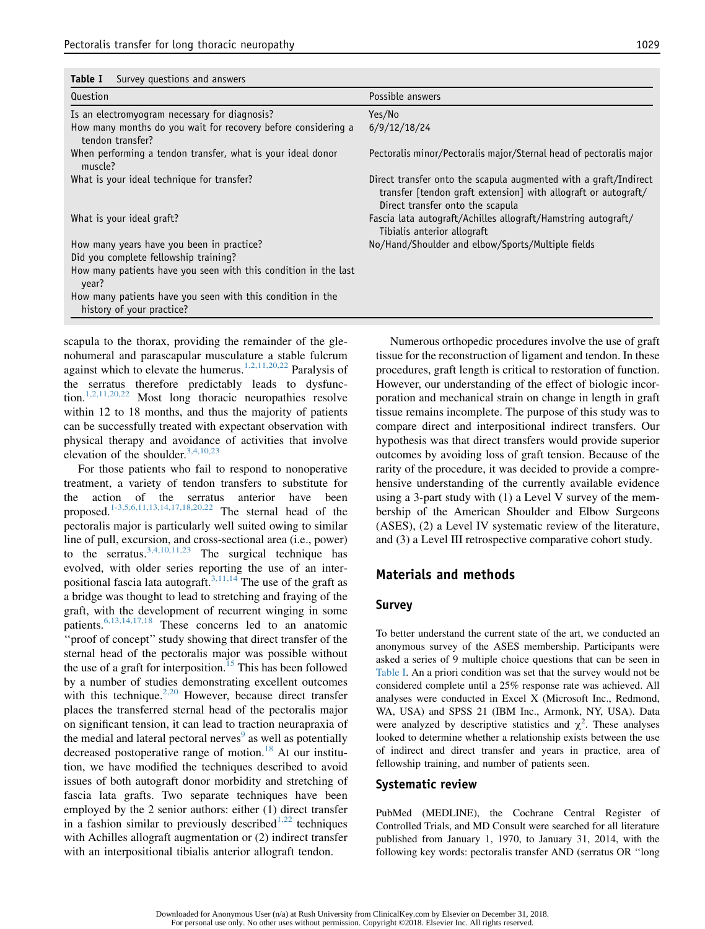| rable 1<br>Survey questions and answers                                                 |                                                                                                                                                                        |
|-----------------------------------------------------------------------------------------|------------------------------------------------------------------------------------------------------------------------------------------------------------------------|
| Question                                                                                | Possible answers                                                                                                                                                       |
| Is an electromy ogram necessary for diagnosis?                                          | Yes/No                                                                                                                                                                 |
| How many months do you wait for recovery before considering a<br>tendon transfer?       | 6/9/12/18/24                                                                                                                                                           |
| When performing a tendon transfer, what is your ideal donor<br>muscle?                  | Pectoralis minor/Pectoralis major/Sternal head of pectoralis major                                                                                                     |
| What is your ideal technique for transfer?                                              | Direct transfer onto the scapula augmented with a graft/Indirect<br>transfer [tendon graft extension] with allograft or autograft/<br>Direct transfer onto the scapula |
| What is your ideal graft?                                                               | Fascia lata autograft/Achilles allograft/Hamstring autograft/<br>Tibialis anterior allograft                                                                           |
| How many years have you been in practice?<br>Did you complete fellowship training?      | No/Hand/Shoulder and elbow/Sports/Multiple fields                                                                                                                      |
| How many patients have you seen with this condition in the last<br>year?                |                                                                                                                                                                        |
| How many patients have you seen with this condition in the<br>history of your practice? |                                                                                                                                                                        |

**Table I** Survey questions and answers

scapula to the thorax, providing the remainder of the glenohumeral and parascapular musculature a stable fulcrum against which to elevate the humerus.<sup>1,2,11,20,22</sup> Paralysis of the serratus therefore predictably leads to dysfunction.1,2,11,20,22 Most long thoracic neuropathies resolve within 12 to 18 months, and thus the majority of patients can be successfully treated with expectant observation with physical therapy and avoidance of activities that involve elevation of the shoulder.  $3,4,10,23$ 

For those patients who fail to respond to nonoperative treatment, a variety of tendon transfers to substitute for the action of the serratus anterior have been proposed.1-3,5,6,11,13,14,17,18,20,22 The sternal head of the pectoralis major is particularly well suited owing to similar line of pull, excursion, and cross-sectional area (i.e., power) to the serratus.<sup>3,4,10,11,23</sup> The surgical technique has evolved, with older series reporting the use of an interpositional fascia lata autograft.<sup>3,11,14</sup> The use of the graft as a bridge was thought to lead to stretching and fraying of the graft, with the development of recurrent winging in some patients.6,13,14,17,18 These concerns led to an anatomic "proof of concept" study showing that direct transfer of the sternal head of the pectoralis major was possible without the use of a graft for interposition.<sup>15</sup> This has been followed by a number of studies demonstrating excellent outcomes with this technique.<sup>2,20</sup> However, because direct transfer places the transferred sternal head of the pectoralis major on significant tension, it can lead to traction neurapraxia of the medial and lateral pectoral nerves<sup>9</sup> as well as potentially decreased postoperative range of motion.<sup>18</sup> At our institution, we have modified the techniques described to avoid issues of both autograft donor morbidity and stretching of fascia lata grafts. Two separate techniques have been employed by the 2 senior authors: either (1) direct transfer in a fashion similar to previously described<sup>1,22</sup> techniques with Achilles allograft augmentation or (2) indirect transfer with an interpositional tibialis anterior allograft tendon.

Numerous orthopedic procedures involve the use of graft tissue for the reconstruction of ligament and tendon. In these procedures, graft length is critical to restoration of function. However, our understanding of the effect of biologic incorporation and mechanical strain on change in length in graft tissue remains incomplete. The purpose of this study was to compare direct and interpositional indirect transfers. Our hypothesis was that direct transfers would provide superior outcomes by avoiding loss of graft tension. Because of the rarity of the procedure, it was decided to provide a comprehensive understanding of the currently available evidence using a 3-part study with (1) a Level V survey of the membership of the American Shoulder and Elbow Surgeons (ASES), (2) a Level IV systematic review of the literature, and (3) a Level III retrospective comparative cohort study.

# Materials and methods

## Survey

To better understand the current state of the art, we conducted an anonymous survey of the ASES membership. Participants were asked a series of 9 multiple choice questions that can be seen in Table I. An a priori condition was set that the survey would not be considered complete until a 25% response rate was achieved. All analyses were conducted in Excel X (Microsoft Inc., Redmond, WA, USA) and SPSS 21 (IBM Inc., Armonk, NY, USA). Data were analyzed by descriptive statistics and  $\chi^2$ . These analyses looked to determine whether a relationship exists between the use of indirect and direct transfer and years in practice, area of fellowship training, and number of patients seen.

## Systematic review

PubMed (MEDLINE), the Cochrane Central Register of Controlled Trials, and MD Consult were searched for all literature published from January 1, 1970, to January 31, 2014, with the following key words: pectoralis transfer AND (serratus OR ''long

Downloaded for Anonymous User (n/a) at Rush University from ClinicalKey.com by Elsevier on December 31, 2018. For personal use only. No other uses without permission. Copyright ©2018. Elsevier Inc. All rights reserved.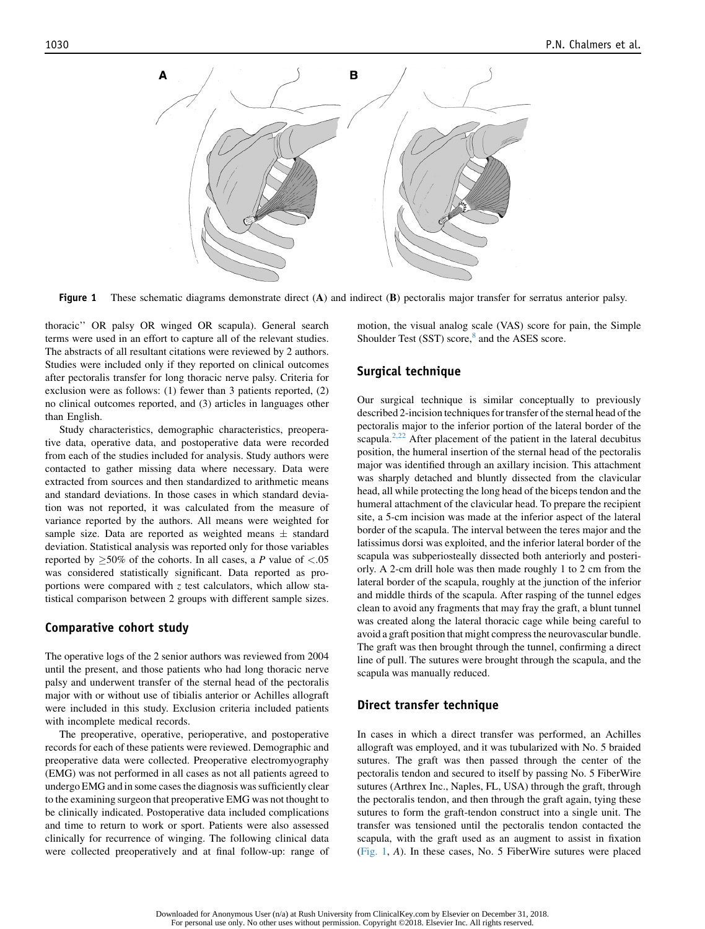

Figure 1 These schematic diagrams demonstrate direct (A) and indirect (B) pectoralis major transfer for serratus anterior palsy.

thoracic'' OR palsy OR winged OR scapula). General search terms were used in an effort to capture all of the relevant studies. The abstracts of all resultant citations were reviewed by 2 authors. Studies were included only if they reported on clinical outcomes after pectoralis transfer for long thoracic nerve palsy. Criteria for exclusion were as follows: (1) fewer than 3 patients reported, (2) no clinical outcomes reported, and (3) articles in languages other than English.

Study characteristics, demographic characteristics, preoperative data, operative data, and postoperative data were recorded from each of the studies included for analysis. Study authors were contacted to gather missing data where necessary. Data were extracted from sources and then standardized to arithmetic means and standard deviations. In those cases in which standard deviation was not reported, it was calculated from the measure of variance reported by the authors. All means were weighted for sample size. Data are reported as weighted means  $\pm$  standard deviation. Statistical analysis was reported only for those variables reported by  $\geq 50\%$  of the cohorts. In all cases, a P value of <.05 was considered statistically significant. Data reported as proportions were compared with  $z$  test calculators, which allow statistical comparison between 2 groups with different sample sizes.

## Comparative cohort study

The operative logs of the 2 senior authors was reviewed from 2004 until the present, and those patients who had long thoracic nerve palsy and underwent transfer of the sternal head of the pectoralis major with or without use of tibialis anterior or Achilles allograft were included in this study. Exclusion criteria included patients with incomplete medical records.

The preoperative, operative, perioperative, and postoperative records for each of these patients were reviewed. Demographic and preoperative data were collected. Preoperative electromyography (EMG) was not performed in all cases as not all patients agreed to undergo EMG and in some cases the diagnosis was sufficiently clear to the examining surgeon that preoperative EMG was not thought to be clinically indicated. Postoperative data included complications and time to return to work or sport. Patients were also assessed clinically for recurrence of winging. The following clinical data were collected preoperatively and at final follow-up: range of motion, the visual analog scale (VAS) score for pain, the Simple Shoulder Test  $(SST)$  score, $8$  and the ASES score.

## Surgical technique

Our surgical technique is similar conceptually to previously described 2-incision techniques for transfer of the sternal head of the pectoralis major to the inferior portion of the lateral border of the scapula. $2.22$  After placement of the patient in the lateral decubitus position, the humeral insertion of the sternal head of the pectoralis major was identified through an axillary incision. This attachment was sharply detached and bluntly dissected from the clavicular head, all while protecting the long head of the biceps tendon and the humeral attachment of the clavicular head. To prepare the recipient site, a 5-cm incision was made at the inferior aspect of the lateral border of the scapula. The interval between the teres major and the latissimus dorsi was exploited, and the inferior lateral border of the scapula was subperiosteally dissected both anteriorly and posteriorly. A 2-cm drill hole was then made roughly 1 to 2 cm from the lateral border of the scapula, roughly at the junction of the inferior and middle thirds of the scapula. After rasping of the tunnel edges clean to avoid any fragments that may fray the graft, a blunt tunnel was created along the lateral thoracic cage while being careful to avoid a graft position that might compress the neurovascular bundle. The graft was then brought through the tunnel, confirming a direct line of pull. The sutures were brought through the scapula, and the scapula was manually reduced.

## Direct transfer technique

In cases in which a direct transfer was performed, an Achilles allograft was employed, and it was tubularized with No. 5 braided sutures. The graft was then passed through the center of the pectoralis tendon and secured to itself by passing No. 5 FiberWire sutures (Arthrex Inc., Naples, FL, USA) through the graft, through the pectoralis tendon, and then through the graft again, tying these sutures to form the graft-tendon construct into a single unit. The transfer was tensioned until the pectoralis tendon contacted the scapula, with the graft used as an augment to assist in fixation (Fig. 1, A). In these cases, No. 5 FiberWire sutures were placed

Downloaded for Anonymous User (n/a) at Rush University from ClinicalKey.com by Elsevier on December 31, 2018. For personal use only. No other uses without permission. Copyright ©2018. Elsevier Inc. All rights reserved.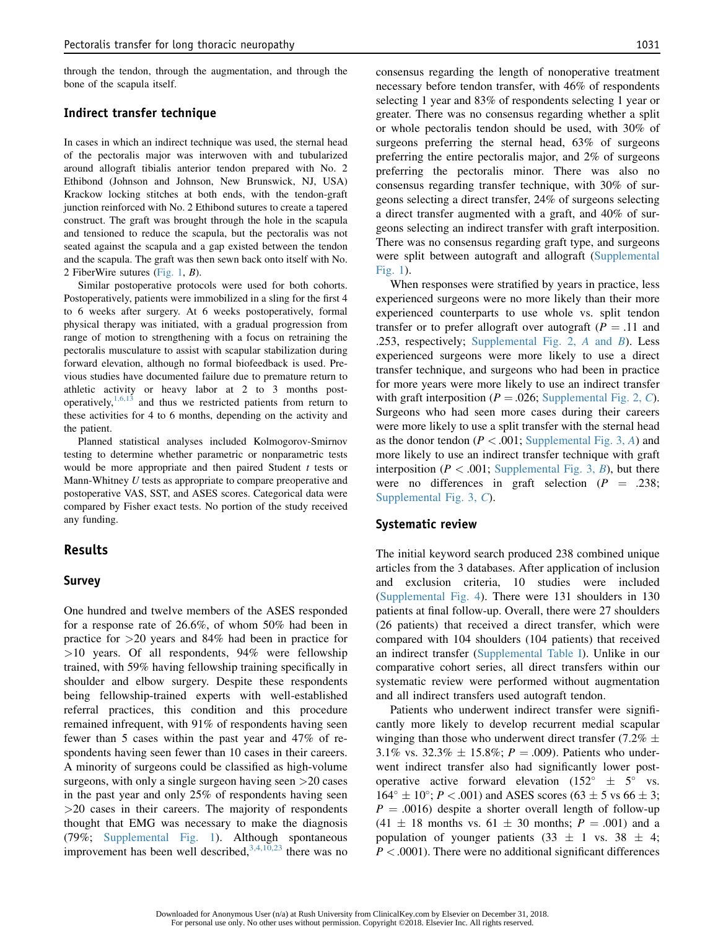through the tendon, through the augmentation, and through the bone of the scapula itself.

#### Indirect transfer technique

In cases in which an indirect technique was used, the sternal head of the pectoralis major was interwoven with and tubularized around allograft tibialis anterior tendon prepared with No. 2 Ethibond (Johnson and Johnson, New Brunswick, NJ, USA) Krackow locking stitches at both ends, with the tendon-graft junction reinforced with No. 2 Ethibond sutures to create a tapered construct. The graft was brought through the hole in the scapula and tensioned to reduce the scapula, but the pectoralis was not seated against the scapula and a gap existed between the tendon and the scapula. The graft was then sewn back onto itself with No. 2 FiberWire sutures (Fig. 1, B).

Similar postoperative protocols were used for both cohorts. Postoperatively, patients were immobilized in a sling for the first 4 to 6 weeks after surgery. At 6 weeks postoperatively, formal physical therapy was initiated, with a gradual progression from range of motion to strengthening with a focus on retraining the pectoralis musculature to assist with scapular stabilization during forward elevation, although no formal biofeedback is used. Previous studies have documented failure due to premature return to athletic activity or heavy labor at 2 to 3 months postoperatively,1,6,13 and thus we restricted patients from return to these activities for 4 to 6 months, depending on the activity and the patient.

Planned statistical analyses included Kolmogorov-Smirnov testing to determine whether parametric or nonparametric tests would be more appropriate and then paired Student  $t$  tests or Mann-Whitney U tests as appropriate to compare preoperative and postoperative VAS, SST, and ASES scores. Categorical data were compared by Fisher exact tests. No portion of the study received any funding.

## Results

#### Survey

One hundred and twelve members of the ASES responded for a response rate of 26.6%, of whom 50% had been in practice for >20 years and 84% had been in practice for  $>10$  years. Of all respondents, 94% were fellowship trained, with 59% having fellowship training specifically in shoulder and elbow surgery. Despite these respondents being fellowship-trained experts with well-established referral practices, this condition and this procedure remained infrequent, with 91% of respondents having seen fewer than 5 cases within the past year and 47% of respondents having seen fewer than 10 cases in their careers. A minority of surgeons could be classified as high-volume surgeons, with only a single surgeon having seen >20 cases in the past year and only 25% of respondents having seen >20 cases in their careers. The majority of respondents thought that EMG was necessary to make the diagnosis (79%; Supplemental Fig. 1). Although spontaneous improvement has been well described,  $3,4,10,23$  there was no

consensus regarding the length of nonoperative treatment necessary before tendon transfer, with 46% of respondents selecting 1 year and 83% of respondents selecting 1 year or greater. There was no consensus regarding whether a split or whole pectoralis tendon should be used, with 30% of surgeons preferring the sternal head, 63% of surgeons preferring the entire pectoralis major, and 2% of surgeons preferring the pectoralis minor. There was also no consensus regarding transfer technique, with 30% of surgeons selecting a direct transfer, 24% of surgeons selecting a direct transfer augmented with a graft, and 40% of surgeons selecting an indirect transfer with graft interposition. There was no consensus regarding graft type, and surgeons were split between autograft and allograft (Supplemental Fig. 1).

When responses were stratified by years in practice, less experienced surgeons were no more likely than their more experienced counterparts to use whole vs. split tendon transfer or to prefer allograft over autograft ( $P = .11$  and .253, respectively; Supplemental Fig. 2, A and B). Less experienced surgeons were more likely to use a direct transfer technique, and surgeons who had been in practice for more years were more likely to use an indirect transfer with graft interposition ( $P = .026$ ; Supplemental Fig. 2, C). Surgeons who had seen more cases during their careers were more likely to use a split transfer with the sternal head as the donor tendon ( $P < .001$ ; Supplemental Fig. 3, A) and more likely to use an indirect transfer technique with graft interposition ( $P < .001$ ; Supplemental Fig. 3, B), but there were no differences in graft selection ( $P = .238$ ; Supplemental Fig. 3, C).

#### Systematic review

The initial keyword search produced 238 combined unique articles from the 3 databases. After application of inclusion and exclusion criteria, 10 studies were included (Supplemental Fig. 4). There were 131 shoulders in 130 patients at final follow-up. Overall, there were 27 shoulders (26 patients) that received a direct transfer, which were compared with 104 shoulders (104 patients) that received an indirect transfer (Supplemental Table I). Unlike in our comparative cohort series, all direct transfers within our systematic review were performed without augmentation and all indirect transfers used autograft tendon.

Patients who underwent indirect transfer were significantly more likely to develop recurrent medial scapular winging than those who underwent direct transfer (7.2%  $\pm$ 3.1% vs.  $32.3\% \pm 15.8\%; P = .009$ ). Patients who underwent indirect transfer also had significantly lower postoperative active forward elevation  $(152^{\circ} \pm 5^{\circ} \text{ vs.})$  $164^{\circ} \pm 10^{\circ}$ ;  $P < .001$ ) and ASES scores (63  $\pm$  5 vs 66  $\pm$  3;  $P = .0016$ ) despite a shorter overall length of follow-up  $(41 \pm 18 \text{ months vs. } 61 \pm 30 \text{ months}; P = .001)$  and a population of younger patients  $(33 \pm 1 \text{ vs. } 38 \pm 4;$  $P < .0001$ ). There were no additional significant differences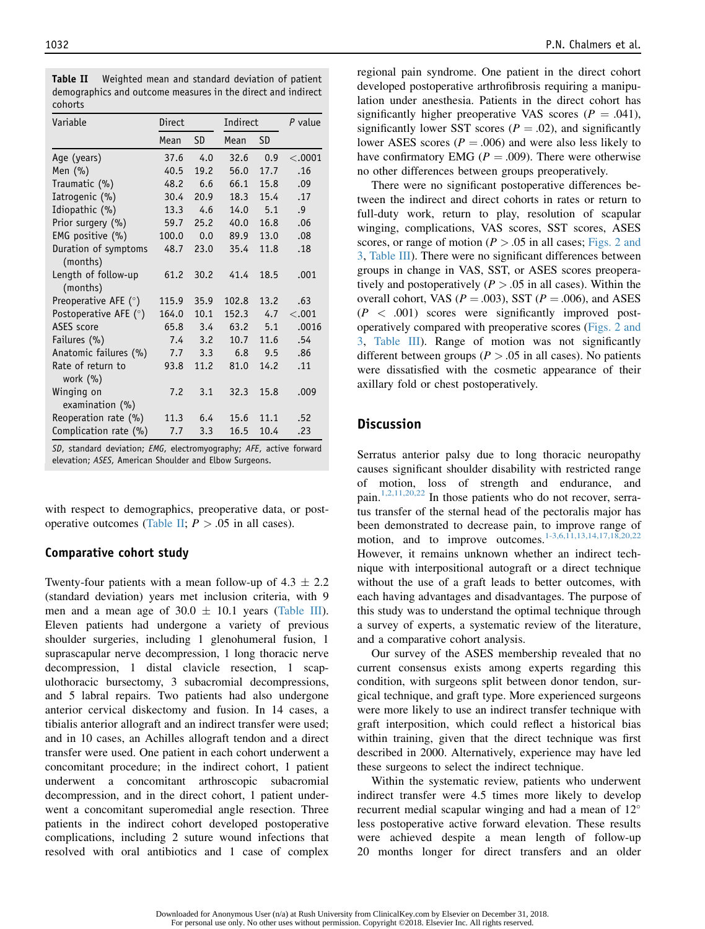| Variable                          | Direct |           | Indirect |           | P value |
|-----------------------------------|--------|-----------|----------|-----------|---------|
|                                   | Mean   | <b>SD</b> | Mean     | <b>SD</b> |         |
| Age (years)                       | 37.6   | 4.0       | 32.6     | 0.9       | < .0001 |
| Men $(\% )$                       | 40.5   | 19.2      | 56.0     | 17.7      | .16     |
| Traumatic (%)                     | 48.2   | 6.6       | 66.1     | 15.8      | .09     |
| Iatrogenic (%)                    | 30.4   | 20.9      | 18.3     | 15.4      | .17     |
| Idiopathic (%)                    | 13.3   | 4.6       | 14.0     | 5.1       | .9      |
| Prior surgery (%)                 | 59.7   | 25.2      | 40.0     | 16.8      | .06     |
| EMG positive (%)                  | 100.0  | 0.0       | 89.9     | 13.0      | .08     |
| Duration of symptoms<br>(months)  | 48.7   | 23.0      | 35.4     | 11.8      | .18     |
| Length of follow-up<br>(months)   | 61.2   | 30.2      | 41.4     | 18.5      | .001    |
| Preoperative AFE (°)              | 115.9  | 35.9      | 102.8    | 13.2      | .63     |
| Postoperative AFE $(°)$           | 164.0  | 10.1      | 152.3    | 4.7       | $-.001$ |
| <b>ASES</b> score                 | 65.8   | 3.4       | 63.2     | 5.1       | .0016   |
| Failures (%)                      | 7.4    | 3.2       | 10.7     | 11.6      | .54     |
| Anatomic failures (%)             | 7.7    | 3.3       | 6.8      | 9.5       | .86     |
| Rate of return to<br>work $(\% )$ | 93.8   | 11.2      | 81.0     | 14.2      | .11     |
| Winging on<br>examination (%)     | 7.2    | 3.1       | 32.3     | 15.8      | .009    |
| Reoperation rate (%)              | 11.3   | 6.4       | 15.6     | 11.1      | .52     |
| Complication rate (%)             | 7.7    | 3.3       | 16.5     | 10.4      | .23     |

Table II Weighted mean and standard deviation of patient demographics and outcome measures in the direct and indirect cohorts

SD, standard deviation; EMG, electromyography; AFE, active forward elevation; ASES, American Shoulder and Elbow Surgeons.

with respect to demographics, preoperative data, or postoperative outcomes (Table II;  $P > .05$  in all cases).

## Comparative cohort study

Twenty-four patients with a mean follow-up of  $4.3 \pm 2.2$ (standard deviation) years met inclusion criteria, with 9 men and a mean age of  $30.0 \pm 10.1$  years (Table III). Eleven patients had undergone a variety of previous shoulder surgeries, including 1 glenohumeral fusion, 1 suprascapular nerve decompression, 1 long thoracic nerve decompression, 1 distal clavicle resection, 1 scapulothoracic bursectomy, 3 subacromial decompressions, and 5 labral repairs. Two patients had also undergone anterior cervical diskectomy and fusion. In 14 cases, a tibialis anterior allograft and an indirect transfer were used; and in 10 cases, an Achilles allograft tendon and a direct transfer were used. One patient in each cohort underwent a concomitant procedure; in the indirect cohort, 1 patient underwent a concomitant arthroscopic subacromial decompression, and in the direct cohort, 1 patient underwent a concomitant superomedial angle resection. Three patients in the indirect cohort developed postoperative complications, including 2 suture wound infections that resolved with oral antibiotics and 1 case of complex regional pain syndrome. One patient in the direct cohort developed postoperative arthrofibrosis requiring a manipulation under anesthesia. Patients in the direct cohort has significantly higher preoperative VAS scores ( $P = .041$ ), significantly lower SST scores ( $P = .02$ ), and significantly lower ASES scores ( $P = .006$ ) and were also less likely to have confirmatory EMG ( $P = .009$ ). There were otherwise no other differences between groups preoperatively.

There were no significant postoperative differences between the indirect and direct cohorts in rates or return to full-duty work, return to play, resolution of scapular winging, complications, VAS scores, SST scores, ASES scores, or range of motion ( $P > .05$  in all cases; Figs. 2 and 3, Table III). There were no significant differences between groups in change in VAS, SST, or ASES scores preoperatively and postoperatively ( $P > .05$  in all cases). Within the overall cohort, VAS ( $P = .003$ ), SST ( $P = .006$ ), and ASES  $(P < .001)$  scores were significantly improved postoperatively compared with preoperative scores (Figs. 2 and 3, Table III). Range of motion was not significantly different between groups ( $P > .05$  in all cases). No patients were dissatisfied with the cosmetic appearance of their axillary fold or chest postoperatively.

## **Discussion**

Serratus anterior palsy due to long thoracic neuropathy causes significant shoulder disability with restricted range of motion, loss of strength and endurance, and pain.<sup>1,2,11,20,22</sup> In those patients who do not recover, serratus transfer of the sternal head of the pectoralis major has been demonstrated to decrease pain, to improve range of motion, and to improve outcomes.<sup>1-3,6,11,13,14,17,18,20,22</sup> However, it remains unknown whether an indirect technique with interpositional autograft or a direct technique without the use of a graft leads to better outcomes, with each having advantages and disadvantages. The purpose of this study was to understand the optimal technique through a survey of experts, a systematic review of the literature, and a comparative cohort analysis.

Our survey of the ASES membership revealed that no current consensus exists among experts regarding this condition, with surgeons split between donor tendon, surgical technique, and graft type. More experienced surgeons were more likely to use an indirect transfer technique with graft interposition, which could reflect a historical bias within training, given that the direct technique was first described in 2000. Alternatively, experience may have led these surgeons to select the indirect technique.

Within the systematic review, patients who underwent indirect transfer were 4.5 times more likely to develop recurrent medial scapular winging and had a mean of 12 less postoperative active forward elevation. These results were achieved despite a mean length of follow-up 20 months longer for direct transfers and an older

Downloaded for Anonymous User (n/a) at Rush University from ClinicalKey.com by Elsevier on December 31, 2018. For personal use only. No other uses without permission. Copyright ©2018. Elsevier Inc. All rights reserved.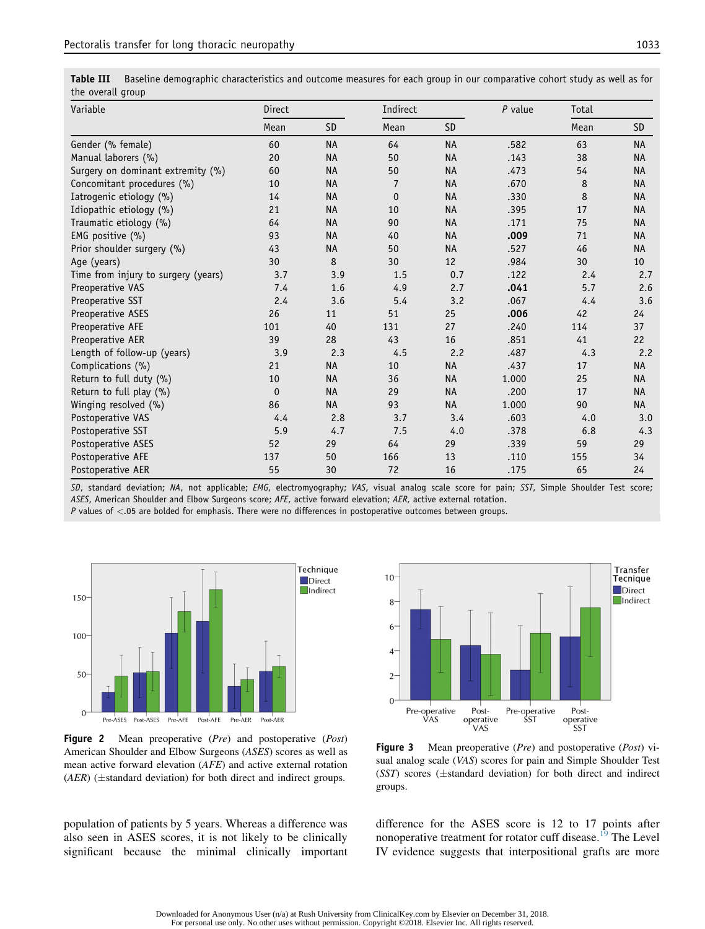Table III Baseline demographic characteristics and outcome measures for each group in our comparative cohort study as well as for the overall group

| Variable                            | Direct      |           | Indirect       |           | $P$ value | Total |           |
|-------------------------------------|-------------|-----------|----------------|-----------|-----------|-------|-----------|
|                                     | Mean        | SD        | Mean           | SD        |           | Mean  | <b>SD</b> |
| Gender (% female)                   | 60          | <b>NA</b> | 64             | <b>NA</b> | .582      | 63    | <b>NA</b> |
| Manual laborers (%)                 | 20          | <b>NA</b> | 50             | <b>NA</b> | .143      | 38    | <b>NA</b> |
| Surgery on dominant extremity (%)   | 60          | <b>NA</b> | 50             | <b>NA</b> | .473      | 54    | <b>NA</b> |
| Concomitant procedures (%)          | 10          | <b>NA</b> | $\overline{7}$ | <b>NA</b> | .670      | 8     | <b>NA</b> |
| Iatrogenic etiology (%)             | 14          | <b>NA</b> | $\mathbf 0$    | <b>NA</b> | .330      | 8     | <b>NA</b> |
| Idiopathic etiology (%)             | 21          | <b>NA</b> | 10             | <b>NA</b> | .395      | 17    | <b>NA</b> |
| Traumatic etiology (%)              | 64          | <b>NA</b> | 90             | <b>NA</b> | .171      | 75    | <b>NA</b> |
| EMG positive (%)                    | 93          | <b>NA</b> | 40             | <b>NA</b> | .009      | 71    | <b>NA</b> |
| Prior shoulder surgery (%)          | 43          | <b>NA</b> | 50             | <b>NA</b> | .527      | 46    | <b>NA</b> |
| Age (years)                         | 30          | 8         | 30             | 12        | .984      | 30    | 10        |
| Time from injury to surgery (years) | 3.7         | 3.9       | 1.5            | 0.7       | .122      | 2.4   | 2.7       |
| Preoperative VAS                    | 7.4         | 1.6       | 4.9            | 2.7       | .041      | 5.7   | 2.6       |
| Preoperative SST                    | 2.4         | 3.6       | 5.4            | 3.2       | .067      | 4.4   | 3.6       |
| Preoperative ASES                   | 26          | 11        | 51             | 25        | .006      | 42    | 24        |
| Preoperative AFE                    | 101         | 40        | 131            | 27        | .240      | 114   | 37        |
| Preoperative AER                    | 39          | 28        | 43             | 16        | .851      | 41    | 22        |
| Length of follow-up (years)         | 3.9         | 2.3       | 4.5            | 2.2       | .487      | 4.3   | 2.2       |
| Complications (%)                   | 21          | <b>NA</b> | 10             | <b>NA</b> | .437      | 17    | <b>NA</b> |
| Return to full duty (%)             | 10          | <b>NA</b> | 36             | <b>NA</b> | 1.000     | 25    | <b>NA</b> |
| Return to full play (%)             | $\mathbf 0$ | <b>NA</b> | 29             | <b>NA</b> | .200      | 17    | <b>NA</b> |
| Winging resolved (%)                | 86          | <b>NA</b> | 93             | <b>NA</b> | 1.000     | 90    | <b>NA</b> |
| Postoperative VAS                   | 4.4         | 2.8       | 3.7            | 3.4       | .603      | 4.0   | 3.0       |
| Postoperative SST                   | 5.9         | 4.7       | 7.5            | 4.0       | .378      | 6.8   | 4.3       |
| Postoperative ASES                  | 52          | 29        | 64             | 29        | .339      | 59    | 29        |
| Postoperative AFE                   | 137         | 50        | 166            | 13        | .110      | 155   | 34        |
| Postoperative AER                   | 55          | 30        | 72             | 16        | .175      | 65    | 24        |

SD, standard deviation; NA, not applicable; EMG, electromyography; VAS, visual analog scale score for pain; SST, Simple Shoulder Test score; ASES, American Shoulder and Elbow Surgeons score; AFE, active forward elevation; AER, active external rotation. P values of <.05 are bolded for emphasis. There were no differences in postoperative outcomes between groups.



**Figure 2** Mean preoperative (*Pre*) and postoperative (*Post*) American Shoulder and Elbow Surgeons (ASES) scores as well as mean active forward elevation (AFE) and active external rotation  $(AER)$  ( $\pm$ standard deviation) for both direct and indirect groups.

population of patients by 5 years. Whereas a difference was also seen in ASES scores, it is not likely to be clinically significant because the minimal clinically important



**Figure 3** Mean preoperative (*Pre*) and postoperative (*Post*) visual analog scale (VAS) scores for pain and Simple Shoulder Test  $(SST)$  scores ( $\pm$ standard deviation) for both direct and indirect groups.

difference for the ASES score is 12 to 17 points after nonoperative treatment for rotator cuff disease.<sup>19</sup> The Level IV evidence suggests that interpositional grafts are more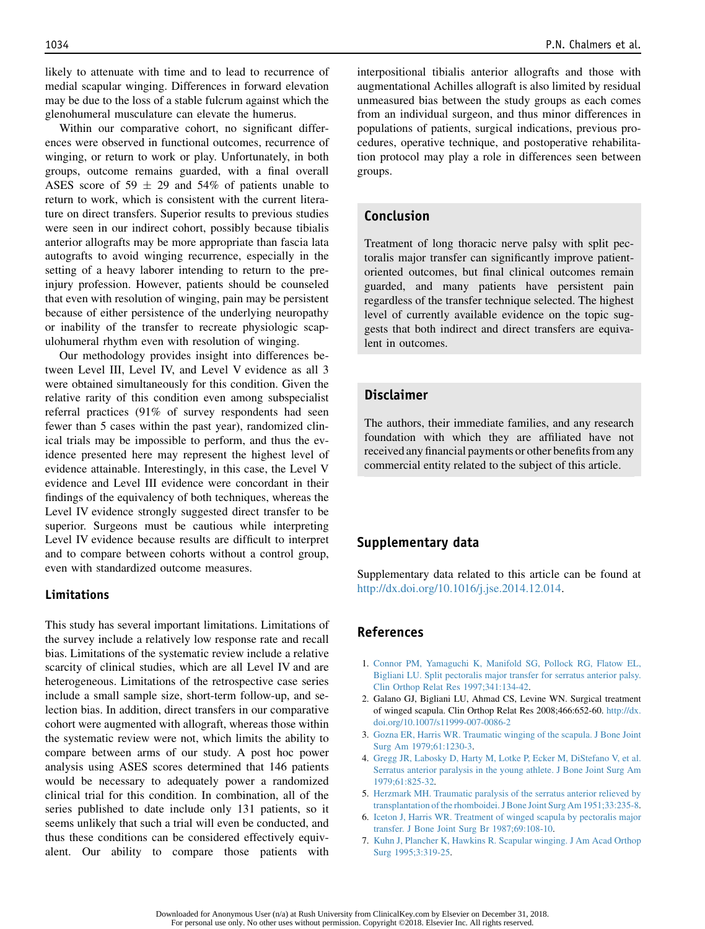likely to attenuate with time and to lead to recurrence of medial scapular winging. Differences in forward elevation may be due to the loss of a stable fulcrum against which the glenohumeral musculature can elevate the humerus.

Within our comparative cohort, no significant differences were observed in functional outcomes, recurrence of winging, or return to work or play. Unfortunately, in both groups, outcome remains guarded, with a final overall ASES score of  $59 \pm 29$  and  $54\%$  of patients unable to return to work, which is consistent with the current literature on direct transfers. Superior results to previous studies were seen in our indirect cohort, possibly because tibialis anterior allografts may be more appropriate than fascia lata autografts to avoid winging recurrence, especially in the setting of a heavy laborer intending to return to the preinjury profession. However, patients should be counseled that even with resolution of winging, pain may be persistent because of either persistence of the underlying neuropathy or inability of the transfer to recreate physiologic scapulohumeral rhythm even with resolution of winging.

Our methodology provides insight into differences between Level III, Level IV, and Level V evidence as all 3 were obtained simultaneously for this condition. Given the relative rarity of this condition even among subspecialist referral practices (91% of survey respondents had seen fewer than 5 cases within the past year), randomized clinical trials may be impossible to perform, and thus the evidence presented here may represent the highest level of evidence attainable. Interestingly, in this case, the Level V evidence and Level III evidence were concordant in their findings of the equivalency of both techniques, whereas the Level IV evidence strongly suggested direct transfer to be superior. Surgeons must be cautious while interpreting Level IV evidence because results are difficult to interpret and to compare between cohorts without a control group, even with standardized outcome measures.

## Limitations

This study has several important limitations. Limitations of the survey include a relatively low response rate and recall bias. Limitations of the systematic review include a relative scarcity of clinical studies, which are all Level IV and are heterogeneous. Limitations of the retrospective case series include a small sample size, short-term follow-up, and selection bias. In addition, direct transfers in our comparative cohort were augmented with allograft, whereas those within the systematic review were not, which limits the ability to compare between arms of our study. A post hoc power analysis using ASES scores determined that 146 patients would be necessary to adequately power a randomized clinical trial for this condition. In combination, all of the series published to date include only 131 patients, so it seems unlikely that such a trial will even be conducted, and thus these conditions can be considered effectively equivalent. Our ability to compare those patients with

interpositional tibialis anterior allografts and those with augmentational Achilles allograft is also limited by residual unmeasured bias between the study groups as each comes from an individual surgeon, and thus minor differences in populations of patients, surgical indications, previous procedures, operative technique, and postoperative rehabilitation protocol may play a role in differences seen between groups.

## Conclusion

Treatment of long thoracic nerve palsy with split pectoralis major transfer can significantly improve patientoriented outcomes, but final clinical outcomes remain guarded, and many patients have persistent pain regardless of the transfer technique selected. The highest level of currently available evidence on the topic suggests that both indirect and direct transfers are equivalent in outcomes.

# Disclaimer

The authors, their immediate families, and any research foundation with which they are affiliated have not received any financial payments or other benefits from any commercial entity related to the subject of this article.

# Supplementary data

Supplementary data related to this article can be found at http://dx.doi.org/10.1016/j.jse.2014.12.014.

# References

- 1. Connor PM, Yamaguchi K, Manifold SG, Pollock RG, Flatow EL, Bigliani LU. Split pectoralis major transfer for serratus anterior palsy. Clin Orthop Relat Res 1997;341:134-42.
- 2. Galano GJ, Bigliani LU, Ahmad CS, Levine WN. Surgical treatment of winged scapula. Clin Orthop Relat Res 2008;466:652-60. http://dx. doi.org/10.1007/s11999-007-0086-2
- 3. Gozna ER, Harris WR. Traumatic winging of the scapula. J Bone Joint Surg Am 1979;61:1230-3.
- 4. Gregg JR, Labosky D, Harty M, Lotke P, Ecker M, DiStefano V, et al. Serratus anterior paralysis in the young athlete. J Bone Joint Surg Am 1979;61:825-32.
- 5. Herzmark MH. Traumatic paralysis of the serratus anterior relieved by transplantation of the rhomboidei. J Bone Joint Surg Am 1951;33:235-8.
- 6. Iceton J, Harris WR. Treatment of winged scapula by pectoralis major transfer. J Bone Joint Surg Br 1987;69:108-10.
- 7. Kuhn J, Plancher K, Hawkins R. Scapular winging. J Am Acad Orthop Surg 1995;3:319-25.